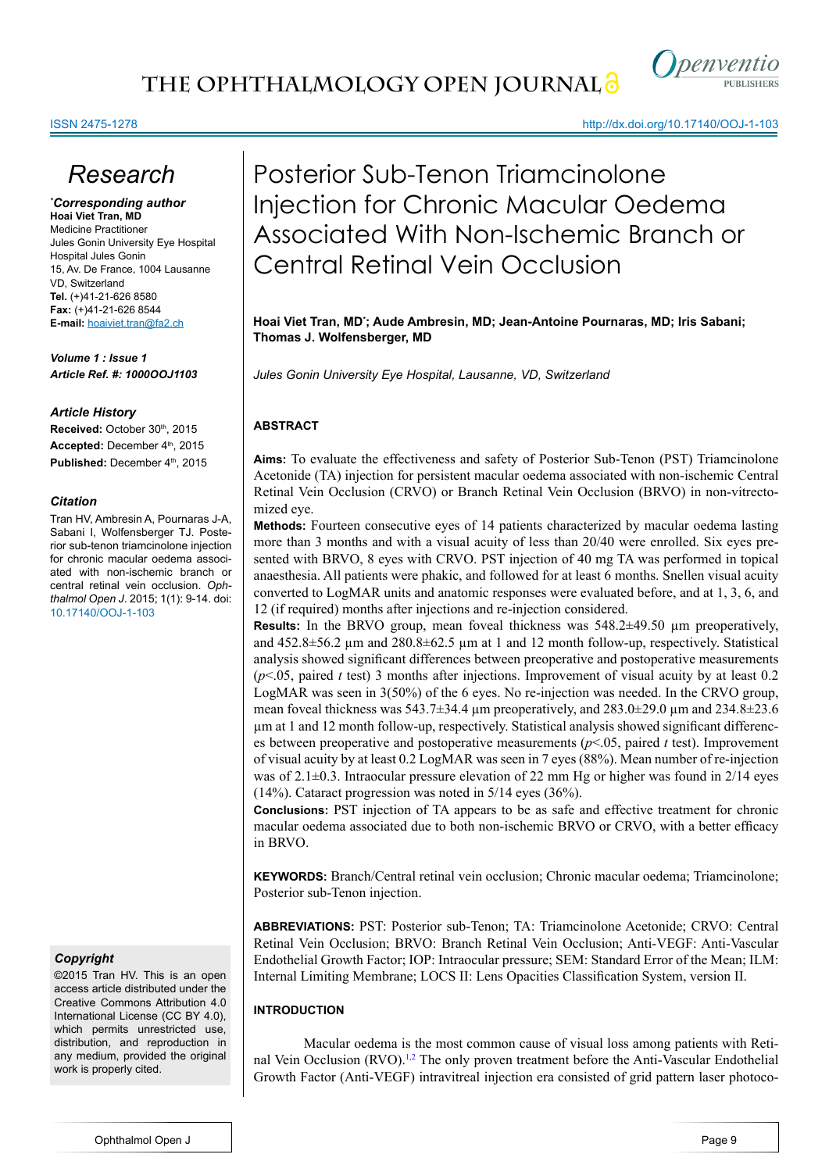

http://dx.doi.org/10.17140/OOJ-1-103

# ISSN 2475-1278

# *Research*

# *\* Corresponding author*

**Hoai Viet Tran, MD** Medicine Practitioner Jules Gonin University Eye Hospital Hospital Jules Gonin 15, Av. De France, 1004 Lausanne VD, Switzerland **Tel.** (+)41-21-626 8580 **Fax:** (+)41-21-626 8544 **E-mail:** hoaiviet.tran@fa2.ch

*Volume 1 : Issue 1 Article Ref. #: 1000OOJ1103*

# *Article History*

Received: October 30<sup>th</sup>, 2015 Accepted: December 4<sup>th</sup>, 2015 Published: December 4<sup>th</sup>, 2015

# *Citation*

Tran HV, Ambresin A, Pournaras J-A, Sabani I, Wolfensberger TJ. Posterior sub-tenon triamcinolone injection for chronic macular oedema associated with non-ischemic branch or central retinal vein occlusion. *Ophthalmol Open J*. 2015; 1(1): 9-14. doi: [10.17140/OOJ-1-103](http://openventio.org/Volume1_Issue1/Posterior_Sub_Tenon_Triamcinolone_Injection_for_Chronic_Macular_Oedema_Associated_With_Non_Ischemic_Branch_or_Central_Retinal_Vein_Occlusion_OOJ_1_103.pdf)

# *Copyright*

©2015 Tran HV. This is an open access article distributed under the Creative Commons Attribution 4.0 International License (CC BY 4.0), which permits unrestricted use, distribution, and reproduction in any medium, provided the original work is properly cited.

Posterior Sub-Tenon Triamcinolone Injection for Chronic Macular Oedema Associated With Non-Ischemic Branch or Central Retinal Vein Occlusion

**Hoai Viet Tran, MD\* ; Aude Ambresin, MD; Jean-Antoine Pournaras, MD; Iris Sabani; Thomas J. Wolfensberger, MD**

*Jules Gonin University Eye Hospital, Lausanne, VD, Switzerland*

# **ABSTRACT**

**Aims:** To evaluate the effectiveness and safety of Posterior Sub-Tenon (PST) Triamcinolone Acetonide (TA) injection for persistent macular oedema associated with non-ischemic Central Retinal Vein Occlusion (CRVO) or Branch Retinal Vein Occlusion (BRVO) in non-vitrectomized eye.

**Methods:** Fourteen consecutive eyes of 14 patients characterized by macular oedema lasting more than 3 months and with a visual acuity of less than 20/40 were enrolled. Six eyes presented with BRVO, 8 eyes with CRVO. PST injection of 40 mg TA was performed in topical anaesthesia. All patients were phakic, and followed for at least 6 months. Snellen visual acuity converted to LogMAR units and anatomic responses were evaluated before, and at 1, 3, 6, and 12 (if required) months after injections and re-injection considered.

**Results:** In the BRVO group, mean foveal thickness was 548.2±49.50 µm preoperatively, and  $452.8\pm56.2$  µm and  $280.8\pm62.5$  µm at 1 and 12 month follow-up, respectively. Statistical analysis showed significant differences between preoperative and postoperative measurements  $(p<0.05$ , paired *t* test) 3 months after injections. Improvement of visual acuity by at least 0.2 LogMAR was seen in 3(50%) of the 6 eyes. No re-injection was needed. In the CRVO group, mean foveal thickness was  $543.7\pm34.4$  µm preoperatively, and  $283.0\pm29.0$  µm and  $234.8\pm23.6$ µm at 1 and 12 month follow-up, respectively. Statistical analysis showed significant differences between preoperative and postoperative measurements (*p*<.05, paired *t* test). Improvement of visual acuity by at least 0.2 LogMAR was seen in 7 eyes (88%). Mean number of re-injection was of  $2.1\pm0.3$ . Intraocular pressure elevation of 22 mm Hg or higher was found in 2/14 eyes (14%). Cataract progression was noted in 5/14 eyes (36%).

**Conclusions:** PST injection of TA appears to be as safe and effective treatment for chronic macular oedema associated due to both non-ischemic BRVO or CRVO, with a better efficacy in BRVO.

**KEYWORDS:** Branch/Central retinal vein occlusion; Chronic macular oedema; Triamcinolone; Posterior sub-Tenon injection.

**ABBREVIATIONS:** PST: Posterior sub-Tenon; TA: Triamcinolone Acetonide; CRVO: Central Retinal Vein Occlusion; BRVO: Branch Retinal Vein Occlusion; Anti-VEGF: Anti-Vascular Endothelial Growth Factor; IOP: Intraocular pressure; SEM: Standard Error of the Mean; ILM: Internal Limiting Membrane; LOCS II: Lens Opacities Classification System, version II.

# **INTRODUCTION**

Macular oedema is the most common cause of visual loss among patients with Retinal Vein Occlusion (RVO).<sup>1,2</sup> The only proven treatment before the Anti-Vascular Endothelial Growth Factor (Anti-VEGF) intravitreal injection era consisted of grid pattern laser photoco-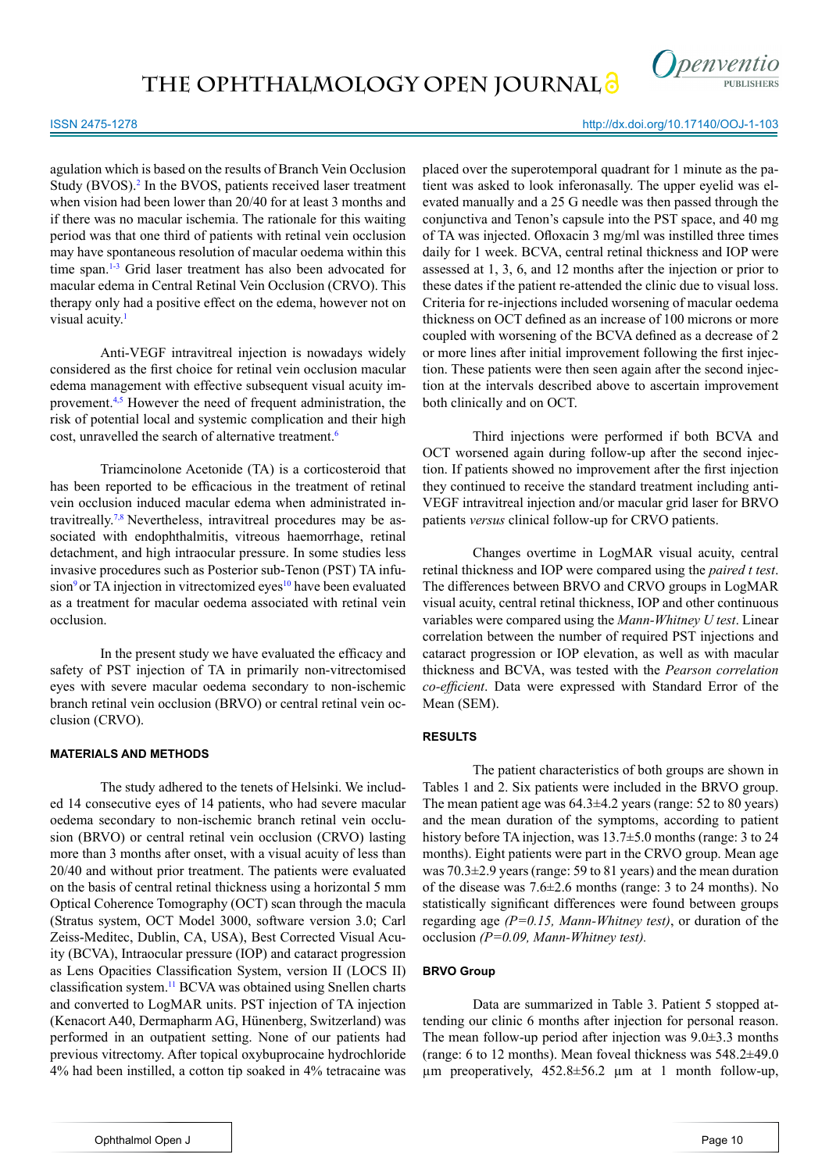

agulation which is based on the results of Branch Vein Occlusion Study (BVOS).<sup>[2](#page-4-1)</sup> In the BVOS, patients received laser treatment when vision had been lower than 20/40 for at least 3 months and if there was no macular ischemia. The rationale for this waiting period was that one third of patients with retinal vein occlusion may have spontaneous resolution of macular oedema within this time span.<sup>1-3</sup> Grid laser treatment has also been advocated for macular edema in Central Retinal Vein Occlusion (CRVO). This therapy only had a positive effect on the edema, however not on visual acuity.<sup>[1](#page-4-0)</sup>

Anti-VEGF intravitreal injection is nowadays widely considered as the first choice for retinal vein occlusion macular edema management with effective subsequent visual acuity improvement[.4,5](#page-4-2) However the need of frequent administration, the risk of potential local and systemic complication and their high cost, unravelled the search of alternative treatment[.6](#page-4-3)

Triamcinolone Acetonide (TA) is a corticosteroid that has been reported to be efficacious in the treatment of retinal vein occlusion induced macular edema when administrated intravitreally.[7,8](#page-4-4) Nevertheless, intravitreal procedures may be associated with endophthalmitis, vitreous haemorrhage, retinal detachment, and high intraocular pressure. In some studies less invasive procedures such as Posterior sub-Tenon (PST) TA infu-sion<sup>[9](#page-4-5)</sup> or TA injection in vitrectomized eyes<sup>10</sup> have been evaluated as a treatment for macular oedema associated with retinal vein occlusion.

In the present study we have evaluated the efficacy and safety of PST injection of TA in primarily non-vitrectomised eyes with severe macular oedema secondary to non-ischemic branch retinal vein occlusion (BRVO) or central retinal vein occlusion (CRVO).

# **MATERIALS AND METHODS**

The study adhered to the tenets of Helsinki. We included 14 consecutive eyes of 14 patients, who had severe macular oedema secondary to non-ischemic branch retinal vein occlusion (BRVO) or central retinal vein occlusion (CRVO) lasting more than 3 months after onset, with a visual acuity of less than 20/40 and without prior treatment. The patients were evaluated on the basis of central retinal thickness using a horizontal 5 mm Optical Coherence Tomography (OCT) scan through the macula (Stratus system, OCT Model 3000, software version 3.0; Carl Zeiss-Meditec, Dublin, CA, USA), Best Corrected Visual Acuity (BCVA), Intraocular pressure (IOP) and cataract progression as Lens Opacities Classification System, version II (LOCS II) classification system.[11](#page-4-7) BCVA was obtained using Snellen charts and converted to LogMAR units. PST injection of TA injection (Kenacort A40, Dermapharm AG, Hünenberg, Switzerland) was performed in an outpatient setting. None of our patients had previous vitrectomy. After topical oxybuprocaine hydrochloride 4% had been instilled, a cotton tip soaked in 4% tetracaine was

Third injections were performed if both BCVA and OCT worsened again during follow-up after the second injection. If patients showed no improvement after the first injection they continued to receive the standard treatment including anti-VEGF intravitreal injection and/or macular grid laser for BRVO patients *versus* clinical follow-up for CRVO patients. Changes overtime in LogMAR visual acuity, central retinal thickness and IOP were compared using the *paired t test*.

both clinically and on OCT.

The differences between BRVO and CRVO groups in LogMAR visual acuity, central retinal thickness, IOP and other continuous variables were compared using the *Mann-Whitney U test*. Linear correlation between the number of required PST injections and cataract progression or IOP elevation, as well as with macular thickness and BCVA, was tested with the *Pearson correlation co-efficient*. Data were expressed with Standard Error of the Mean (SEM).

# **RESULTS**

The patient characteristics of both groups are shown in Tables 1 and 2. Six patients were included in the BRVO group. The mean patient age was 64.3±4.2 years (range: 52 to 80 years) and the mean duration of the symptoms, according to patient history before TA injection, was 13.7±5.0 months (range: 3 to 24 months). Eight patients were part in the CRVO group. Mean age was 70.3±2.9 years (range: 59 to 81 years) and the mean duration of the disease was 7.6±2.6 months (range: 3 to 24 months). No statistically significant differences were found between groups regarding age *(P=0.15, Mann-Whitney test)*, or duration of the occlusion *(P=0.09, Mann-Whitney test).*

# **BRVO Group**

Data are summarized in Table 3. Patient 5 stopped attending our clinic 6 months after injection for personal reason. The mean follow-up period after injection was 9.0±3.3 months (range: 6 to 12 months). Mean foveal thickness was 548.2±49.0 µm preoperatively, 452.8±56.2 µm at 1 month follow-up,

#### http://dx.doi.org/10.17140/OOJ-1-103

placed over the superotemporal quadrant for 1 minute as the patient was asked to look inferonasally. The upper eyelid was elevated manually and a 25 G needle was then passed through the conjunctiva and Tenon's capsule into the PST space, and 40 mg of TA was injected. Ofloxacin 3 mg/ml was instilled three times daily for 1 week. BCVA, central retinal thickness and IOP were assessed at 1, 3, 6, and 12 months after the injection or prior to these dates if the patient re-attended the clinic due to visual loss. Criteria for re-injections included worsening of macular oedema thickness on OCT defined as an increase of 100 microns or more coupled with worsening of the BCVA defined as a decrease of 2 or more lines after initial improvement following the first injection. These patients were then seen again after the second injection at the intervals described above to ascertain improvement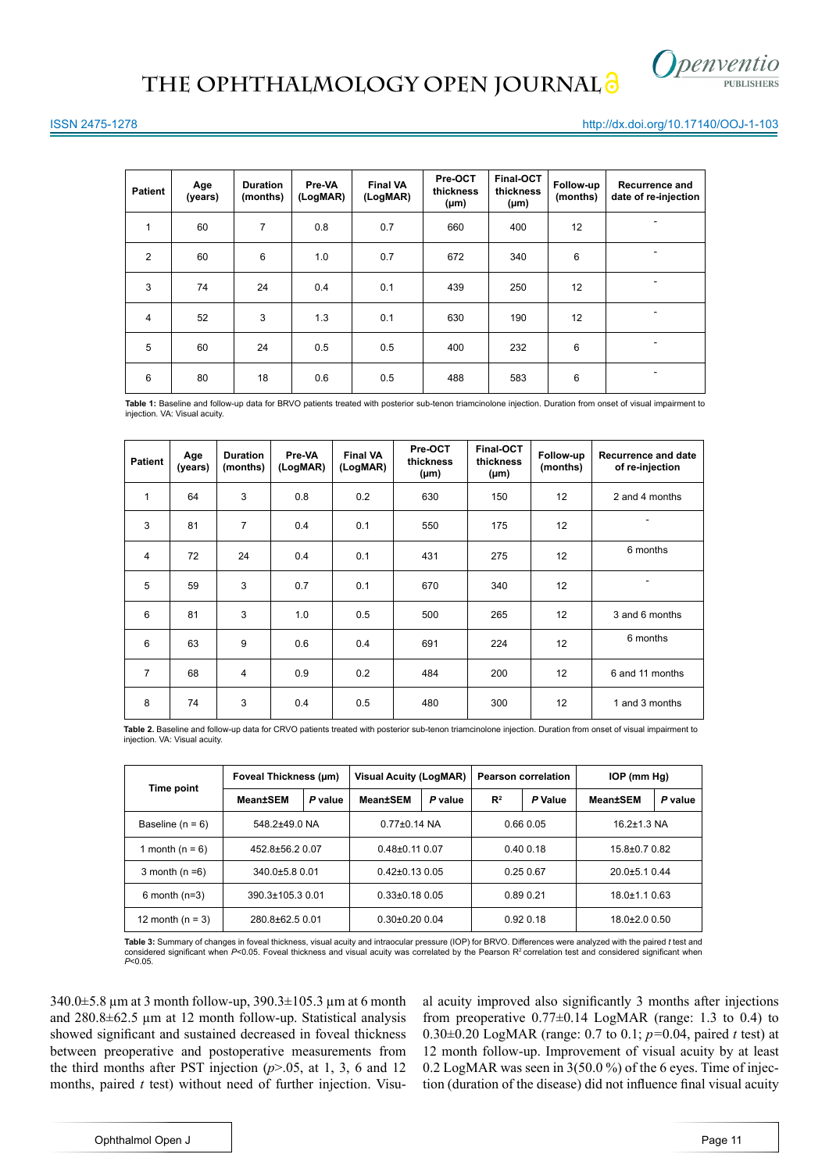

#### http://dx.doi.org/10.17140/OOJ-1-103

| <b>Patient</b> | Age<br>(years) | <b>Duration</b><br>(months) | Pre-VA<br>(LogMAR) | <b>Final VA</b><br>(LogMAR) | Pre-OCT<br>thickness<br>$(\mu m)$ | Final-OCT<br>thickness<br>$(\mu m)$ | Follow-up<br>(months) | Recurrence and<br>date of re-injection |
|----------------|----------------|-----------------------------|--------------------|-----------------------------|-----------------------------------|-------------------------------------|-----------------------|----------------------------------------|
| 1              | 60             | $\overline{7}$              | 0.8                | 0.7                         | 660                               | 400                                 | 12                    |                                        |
| 2              | 60             | 6                           | 1.0                | 0.7                         | 672                               | 340                                 | 6                     |                                        |
| 3              | 74             | 24                          | 0.4                | 0.1                         | 439                               | 250                                 | 12                    | ۰                                      |
| $\overline{4}$ | 52             | 3                           | 1.3                | 0.1                         | 630                               | 190                                 | 12 <sup>2</sup>       |                                        |
| 5              | 60             | 24                          | 0.5                | 0.5                         | 400                               | 232                                 | 6                     | ۰                                      |
| 6              | 80             | 18                          | 0.6                | 0.5                         | 488                               | 583                                 | 6                     | $\overline{\phantom{a}}$               |

**Table 1:** Baseline and follow-up data for BRVO patients treated with posterior sub-tenon triamcinolone injection. Duration from onset of visual impairment to injection. VA: Visual acuity.

| <b>Patient</b> | Age<br>(years) | <b>Duration</b><br>(months) | Pre-VA<br>(LogMAR) | <b>Final VA</b><br>(LogMAR) | Pre-OCT<br>thickness<br>$(\mu m)$ | Final-OCT<br>thickness<br>$(\mu m)$ | Follow-up<br>(months) | <b>Recurrence and date</b><br>of re-injection |
|----------------|----------------|-----------------------------|--------------------|-----------------------------|-----------------------------------|-------------------------------------|-----------------------|-----------------------------------------------|
| $\mathbf{1}$   | 64             | 3                           | 0.8                | 0.2                         | 630                               | 150                                 | 12                    | 2 and 4 months                                |
| 3              | 81             | $\overline{7}$              | 0.4                | 0.1                         | 550                               | 175                                 | 12                    |                                               |
| 4              | 72             | 24                          | 0.4                | 0.1                         | 431                               | 275                                 | 12                    | 6 months                                      |
| 5              | 59             | 3                           | 0.7                | 0.1                         | 670                               | 340                                 | 12                    | -                                             |
| 6              | 81             | 3                           | 1.0                | 0.5                         | 500                               | 265                                 | 12                    | 3 and 6 months                                |
| 6              | 63             | 9                           | 0.6                | 0.4                         | 691                               | 224                                 | 12                    | 6 months                                      |
| $\overline{7}$ | 68             | $\overline{4}$              | 0.9                | 0.2                         | 484                               | 200                                 | 12                    | 6 and 11 months                               |
| 8              | 74             | 3                           | 0.4                | 0.5                         | 480                               | 300                                 | 12                    | 1 and 3 months                                |

Table 2. Baseline and follow-up data for CRVO patients treated with posterior sub-tenon triamcinolone injection. Duration from onset of visual impairment to injection. VA: Visual acuity

|                                         | Foveal Thickness (um) |                    | <b>Visual Acuity (LogMAR)</b> |          | <b>Pearson correlation</b> |                  | $IOP$ (mm $Hq$ )   |         |
|-----------------------------------------|-----------------------|--------------------|-------------------------------|----------|----------------------------|------------------|--------------------|---------|
| Time point                              | Mean±SEM              | P value            | <b>Mean±SEM</b>               | P value  | $\mathbb{R}^2$             | P Value          | <b>Mean</b> tSEM   | P value |
| Baseline $(n = 6)$                      | 548.2±49.0 NA         |                    | $0.77 \pm 0.14$ NA            |          | 0.660.05                   |                  | $16.2 \pm 1.3$ NA  |         |
| 1 month ( $n = 6$ )                     | $452.8 + 56.20.07$    |                    | $0.48\pm0.11$ 0.07            |          | 0.400.18                   |                  | 15.8±0.7 0.82      |         |
| $340.0 + 5.8 0.01$<br>3 month $(n=6)$   |                       |                    | $0.42\pm0.13$ 0.05            |          | 0.250.67                   |                  | $20.0 + 5.10.44$   |         |
| $6$ month ( $n=3$ )                     | 390.3±105.3 0.01      |                    | $0.33\pm0.18$ 0.05            |          | 0.89 0.21                  |                  | $18.0 \pm 1.10.63$ |         |
| 280.8±62.5 0.01<br>12 month ( $n = 3$ ) |                       | $0.30\pm0.20$ 0.04 |                               | 0.920.18 |                            | $18.0\pm2.00.50$ |                    |         |

**Table 3:** Summary of changes in foveal thickness, visual acuity and intraocular pressure (IOP) for BRVO. Differences were analyzed with the paired *t* test and considered significant when *P<*0.05. Foveal thickness and visual acuity was correlated by the Pearson R² correlation test and considered significant when<br>*P<*0.05.

340.0±5.8 µm at 3 month follow-up, 390.3±105.3 µm at 6 month and 280.8±62.5 µm at 12 month follow-up. Statistical analysis showed significant and sustained decreased in foveal thickness between preoperative and postoperative measurements from the third months after PST injection (*p*>.05, at 1, 3, 6 and 12 months, paired *t* test) without need of further injection. Visual acuity improved also significantly 3 months after injections from preoperative  $0.77\pm0.14$  LogMAR (range: 1.3 to 0.4) to 0.30±0.20 LogMAR (range: 0.7 to 0.1; *p=*0.04, paired *t* test) at 12 month follow-up. Improvement of visual acuity by at least 0.2 LogMAR was seen in 3(50.0 %) of the 6 eyes. Time of injection (duration of the disease) did not influence final visual acuity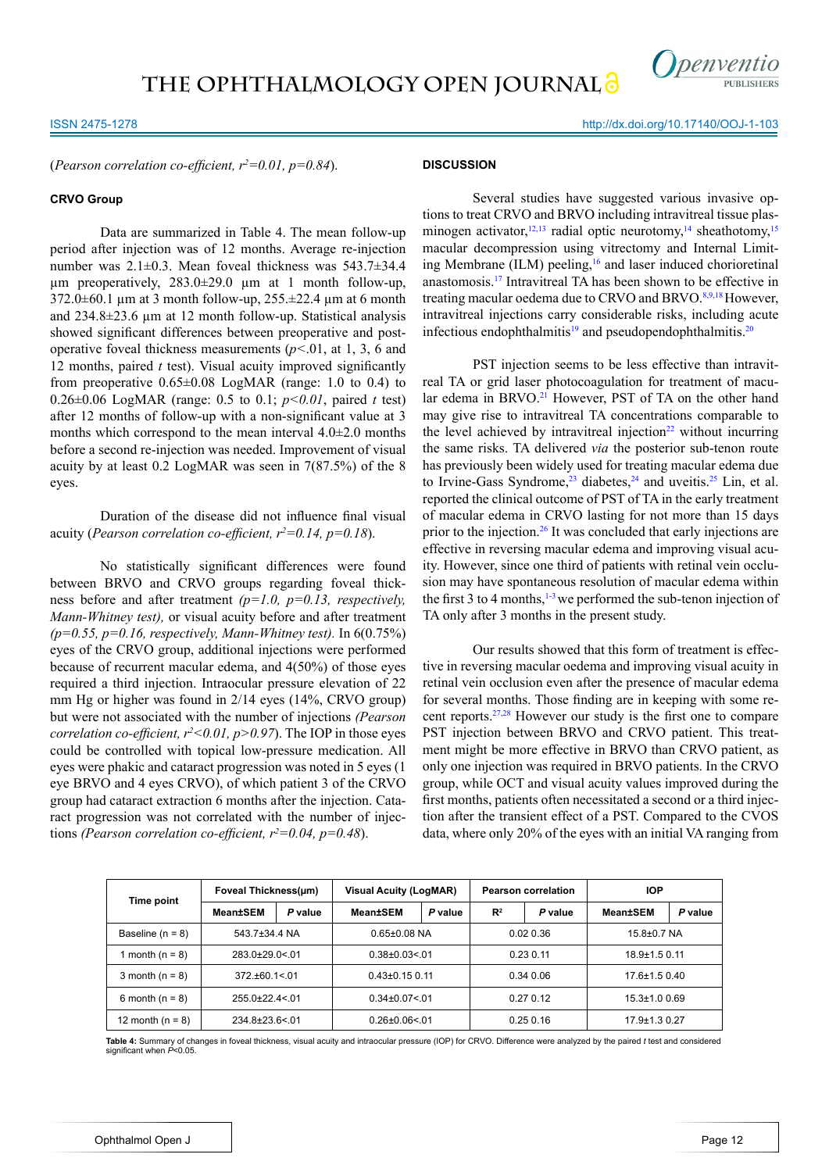

http://dx.doi.org/10.17140/OOJ-1-103

(*Pearson correlation co-efficient, r<sup>2</sup> =0.01, p=0.84*).

#### **CRVO Group**

Data are summarized in Table 4. The mean follow-up period after injection was of 12 months. Average re-injection number was 2.1±0.3. Mean foveal thickness was 543.7±34.4  $\mu$ m preoperatively, 283.0 $\pm$ 29.0  $\mu$ m at 1 month follow-up,  $372.0\pm60.1$  µm at 3 month follow-up,  $255.\pm22.4$  µm at 6 month and 234.8±23.6 µm at 12 month follow-up. Statistical analysis showed significant differences between preoperative and postoperative foveal thickness measurements (*p<*.01, at 1, 3, 6 and 12 months, paired *t* test). Visual acuity improved significantly from preoperative  $0.65\pm0.08$  LogMAR (range: 1.0 to 0.4) to 0.26±0.06 LogMAR (range: 0.5 to 0.1; *p<0.01*, paired *t* test) after 12 months of follow-up with a non-significant value at 3 months which correspond to the mean interval 4.0±2.0 months before a second re-injection was needed. Improvement of visual acuity by at least 0.2 LogMAR was seen in 7(87.5%) of the 8 eyes.

Duration of the disease did not influence final visual acuity (*Pearson correlation co-efficient,*  $r^2 = 0.14$ *,*  $p = 0.18$ *).* 

No statistically significant differences were found between BRVO and CRVO groups regarding foveal thickness before and after treatment *(p=1.0, p=0.13, respectively, Mann-Whitney test),* or visual acuity before and after treatment *(p=0.55, p=0.16, respectively, Mann-Whitney test).* In 6(0.75%) eyes of the CRVO group, additional injections were performed because of recurrent macular edema, and 4(50%) of those eyes required a third injection. Intraocular pressure elevation of 22 mm Hg or higher was found in 2/14 eyes (14%, CRVO group) but were not associated with the number of injections *(Pearson correlation co-efficient,*  $r^2 < 0.01$ *,*  $p > 0.97$ *). The IOP in those eyes* could be controlled with topical low-pressure medication. All eyes were phakic and cataract progression was noted in 5 eyes (1 eye BRVO and 4 eyes CRVO), of which patient 3 of the CRVO group had cataract extraction 6 months after the injection. Cataract progression was not correlated with the number of injections (Pearson correlation co-efficient,  $r^2 = 0.04$ ,  $p = 0.48$ ).

# **DISCUSSION**

Several studies have suggested various invasive options to treat CRVO and BRVO including intravitreal tissue plasminogen activator,  $12,13$  radial optic neurotomy,  $14$  sheathotomy,  $15$ macular decompression using vitrectomy and Internal Limit-ing Membrane (ILM) peeling,<sup>[16](#page-4-11)</sup> and laser induced chorioretinal anastomosis[.17](#page-4-12) Intravitreal TA has been shown to be effective in treating macular oedema due to CRVO and BRVO.<sup>[8,9](#page-4-13),18</sup> However, intravitreal injections carry considerable risks, including acute infectious endophthalmitis $19$  and pseudopendophthalmitis.<sup>[20](#page-5-0)</sup>

PST injection seems to be less effective than intravitreal TA or grid laser photocoagulation for treatment of macular edema in BRVO.<sup>21</sup> However, PST of TA on the other hand may give rise to intravitreal TA concentrations comparable to the level achieved by intravitreal injection<sup>[22](#page-5-2)</sup> without incurring the same risks. TA delivered *via* the posterior sub-tenon route has previously been widely used for treating macular edema due to Irvine-Gass Syndrome,<sup>[23](#page-5-3)</sup> diabetes,<sup>24</sup> and uveitis.<sup>[25](#page-5-5)</sup> Lin, et al. reported the clinical outcome of PST of TA in the early treatment of macular edema in CRVO lasting for not more than 15 days prior to the injection.<sup>26</sup> It was concluded that early injections are effective in reversing macular edema and improving visual acuity. However, since one third of patients with retinal vein occlusion may have spontaneous resolution of macular edema within the first 3 to 4 months,  $1-3$  we performed the sub-tenon injection of TA only after 3 months in the present study.

Our results showed that this form of treatment is effective in reversing macular oedema and improving visual acuity in retinal vein occlusion even after the presence of macular edema for several months. Those finding are in keeping with some recent reports.[27,28](#page-5-7) However our study is the first one to compare PST injection between BRVO and CRVO patient. This treatment might be more effective in BRVO than CRVO patient, as only one injection was required in BRVO patients. In the CRVO group, while OCT and visual acuity values improved during the first months, patients often necessitated a second or a third injection after the transient effect of a PST. Compared to the CVOS data, where only 20% of the eyes with an initial VA ranging from

|                      | Foveal Thickness(um)    |         | <b>Visual Acuity (LogMAR)</b> |         | <b>Pearson correlation</b> |         | <b>IOP</b>          |         |
|----------------------|-------------------------|---------|-------------------------------|---------|----------------------------|---------|---------------------|---------|
| Time point           | Mean±SEM                | P value | <b>Mean±SEM</b>               | P value | R <sup>2</sup>             | P value | <b>Mean</b> tSEM    | P value |
| Baseline $(n = 8)$   | 543.7±34.4 NA           |         | $0.65 \pm 0.08$ NA            |         | 0.020.36                   |         | $15.8 + 0.7$ NA     |         |
| 1 month ( $n = 8$ )  | $283.0 \pm 29.0 \le 01$ |         | $0.38\pm0.03<0.1$             |         | 0.230.11                   |         | $18.9 \pm 1.5$ 0.11 |         |
| 3 month ( $n = 8$ )  | $372.+60.1<01$          |         | $0.43\pm0.15$ 0.11            |         | 0.340.06                   |         | $17.6 \pm 1.50.40$  |         |
| 6 month ( $n = 8$ )  | $255.0+22.4<.01$        |         | $0.34\pm0.07<0.1$             |         | 0.270.12                   |         | $15.3 \pm 1.00.69$  |         |
| 12 month ( $n = 8$ ) | $234.8 \pm 23.6 \le 01$ |         | $0.26 \pm 0.06 \le 01$        |         | 0.250.16                   |         | $17.9 \pm 1.3$ 0.27 |         |

**Table 4:** Summary of changes in foveal thickness, visual acuity and intraocular pressure (IOP) for CRVO. Difference were analyzed by the paired *t* test and considered significant when *P*<0.05.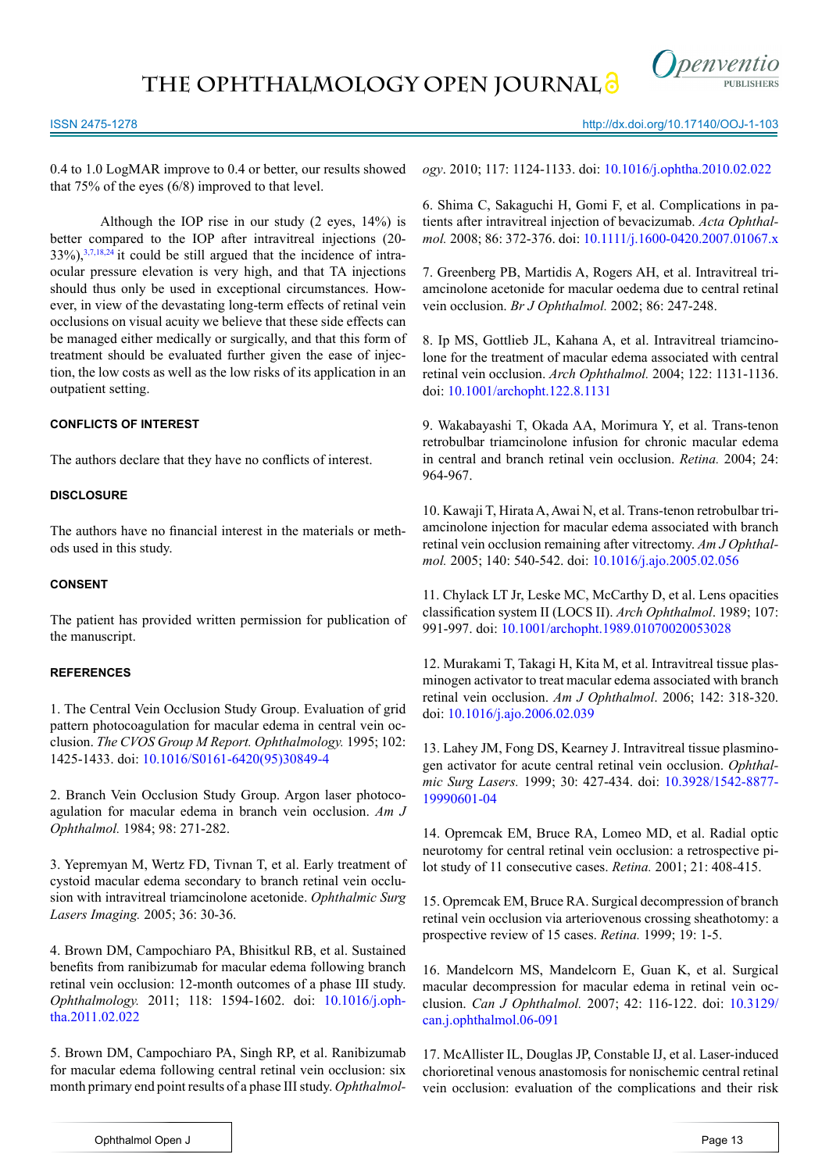**THE OPHTHALMOLOGY OPEN JOURNAL**



# ISSN 2475-1278

http://dx.doi.org/10.17140/OOJ-1-103

0.4 to 1.0 LogMAR improve to 0.4 or better, our results showed that 75% of the eyes (6/8) improved to that level.

Although the IOP rise in our study (2 eyes, 14%) is better compared to the IOP after intravitreal injections (20-  $33\%$ ),  $3,7,18,24$  $3,7,18,24$  $3,7,18,24$  $3,7,18,24$  it could be still argued that the incidence of intraocular pressure elevation is very high, and that TA injections should thus only be used in exceptional circumstances. However, in view of the devastating long-term effects of retinal vein occlusions on visual acuity we believe that these side effects can be managed either medically or surgically, and that this form of treatment should be evaluated further given the ease of injection, the low costs as well as the low risks of its application in an outpatient setting.

# **CONFLICTS OF INTEREST**

The authors declare that they have no conflicts of interest.

# **DISCLOSURE**

The authors have no financial interest in the materials or methods used in this study.

# **CONSENT**

The patient has provided written permission for publication of the manuscript.

# **REFERENCES**

<span id="page-4-0"></span>1. The Central Vein Occlusion Study Group. Evaluation of grid pattern photocoagulation for macular edema in central vein occlusion. *The CVOS Group M Report. Ophthalmology.* 1995; 102: 1425-1433. doi: [10.1016/S0161-6420\(95\)30849-4](http://www.sciencedirect.com/science/article/pii/S0161642095308494)

<span id="page-4-1"></span>2. Branch Vein Occlusion Study Group. Argon laser photocoagulation for macular edema in branch vein occlusion. *Am J Ophthalmol.* 1984; 98: 271-282.

<span id="page-4-14"></span>3. Yepremyan M, Wertz FD, Tivnan T, et al. Early treatment of cystoid macular edema secondary to branch retinal vein occlusion with intravitreal triamcinolone acetonide. *Ophthalmic Surg Lasers Imaging.* 2005; 36: 30-36.

<span id="page-4-2"></span>4. Brown DM, Campochiaro PA, Bhisitkul RB, et al. Sustained benefits from ranibizumab for macular edema following branch retinal vein occlusion: 12-month outcomes of a phase III study. *Ophthalmology.* 2011; 118: 1594-1602. doi: [10.1016/j.oph](http://www.sciencedirect.com/science/article/pii/S0161642011001813)[tha.2011.02.022](http://www.sciencedirect.com/science/article/pii/S0161642011001813)

5. Brown DM, Campochiaro PA, Singh RP, et al. Ranibizumab for macular edema following central retinal vein occlusion: six month primary end point results of a phase III study. *Ophthalmol-* *ogy*. 2010; 117: 1124-1133. doi: [10.1016/j.ophtha.2010.02.022](http://www.sciencedirect.com/science/article/pii/S0161642010001867)

<span id="page-4-3"></span>6. Shima C, Sakaguchi H, Gomi F, et al. Complications in patients after intravitreal injection of bevacizumab. *Acta Ophthalmol.* 2008; 86: 372-376. doi: [10.1111/j.1600-0420.2007.01067.x](http://onlinelibrary.wiley.com/doi/10.1111/j.1600-0420.2007.01067.x/abstract%3Bjsessionid%3D37D900BD89762CB81A53A9985CF1BEE3.f01t01%3FsystemMessage%3DWiley%2BOnline%2BLibrary%2Bwill%2Bbe%2Bunavailable%2Bon%2BSaturday%2B5th%2BDecember%2Bfrom%2B10%253A00-14%253A00%2BGMT%2B%252F%2B05%253A00-09%253A00%2BEST%2B%252F%2B18%253A00-22%253A00%2BSGT%2Bfor%2Bessential%2Bmaintenance.%2BApologies%2Bfor%2Bthe%2Binconvenience)

<span id="page-4-4"></span>7. Greenberg PB, Martidis A, Rogers AH, et al. Intravitreal triamcinolone acetonide for macular oedema due to central retinal vein occlusion. *Br J Ophthalmol.* 2002; 86: 247-248.

<span id="page-4-13"></span>8. Ip MS, Gottlieb JL, Kahana A, et al. Intravitreal triamcinolone for the treatment of macular edema associated with central retinal vein occlusion. *Arch Ophthalmol.* 2004; 122: 1131-1136. doi: [10.1001/archopht.122.8.1131](http://archopht.jamanetwork.com/article.aspx%3Farticleid%3D416496)

<span id="page-4-5"></span>9. Wakabayashi T, Okada AA, Morimura Y, et al. Trans-tenon retrobulbar triamcinolone infusion for chronic macular edema in central and branch retinal vein occlusion. *Retina.* 2004; 24: 964-967.

<span id="page-4-6"></span>10. Kawaji T, Hirata A, Awai N, et al. Trans-tenon retrobulbar triamcinolone injection for macular edema associated with branch retinal vein occlusion remaining after vitrectomy. *Am J Ophthalmol.* 2005; 140: 540-542. doi: [10.1016/j.ajo.2005.02.056](http://www.sciencedirect.com/science/article/pii/S0002939405002813)

<span id="page-4-7"></span>11. Chylack LT Jr, Leske MC, McCarthy D, et al. Lens opacities classification system II (LOCS II). *Arch Ophthalmol*. 1989; 107: 991-997. doi: [10.1001/archopht.1989.01070020053028](http://archopht.jamanetwork.com/article.aspx%3Farticleid%3D637914)

<span id="page-4-8"></span>12. Murakami T, Takagi H, Kita M, et al. Intravitreal tissue plasminogen activator to treat macular edema associated with branch retinal vein occlusion. *Am J Ophthalmol*. 2006; 142: 318-320. doi: [10.1016/j.ajo.2006.02.039](http://www.ajo.com/article/S0002-9394%2806%2900334-5/abstract)

13. Lahey JM, Fong DS, Kearney J. Intravitreal tissue plasminogen activator for acute central retinal vein occlusion. *Ophthalmic Surg Lasers.* 1999; 30: 427-434. doi: [10.3928/1542-8877-](http://www.healio.com/ophthalmology/journals/osli/1999-6-30-6/%257B02730d5d-0973-49bc-9fcd-84d89b93edfc%257D/intravitreal-tissue-plasminogen-activator-for-acute-central-retinal-vein-occlusion) [19990601-04](http://www.healio.com/ophthalmology/journals/osli/1999-6-30-6/%257B02730d5d-0973-49bc-9fcd-84d89b93edfc%257D/intravitreal-tissue-plasminogen-activator-for-acute-central-retinal-vein-occlusion)

<span id="page-4-9"></span>14. Opremcak EM, Bruce RA, Lomeo MD, et al. Radial optic neurotomy for central retinal vein occlusion: a retrospective pilot study of 11 consecutive cases. *Retina.* 2001; 21: 408-415.

<span id="page-4-10"></span>15. Opremcak EM, Bruce RA. Surgical decompression of branch retinal vein occlusion via arteriovenous crossing sheathotomy: a prospective review of 15 cases. *Retina.* 1999; 19: 1-5.

<span id="page-4-11"></span>16. Mandelcorn MS, Mandelcorn E, Guan K, et al. Surgical macular decompression for macular edema in retinal vein occlusion. *Can J Ophthalmol.* 2007; 42: 116-122. doi: [10.3129/](http://www.canadianjournalofophthalmology.ca/article/S0008-4182%2807%2980215-8/abstract) [can.j.ophthalmol.06-091](http://www.canadianjournalofophthalmology.ca/article/S0008-4182%2807%2980215-8/abstract)

<span id="page-4-12"></span>17. McAllister IL, Douglas JP, Constable IJ, et al. Laser-induced chorioretinal venous anastomosis for nonischemic central retinal vein occlusion: evaluation of the complications and their risk